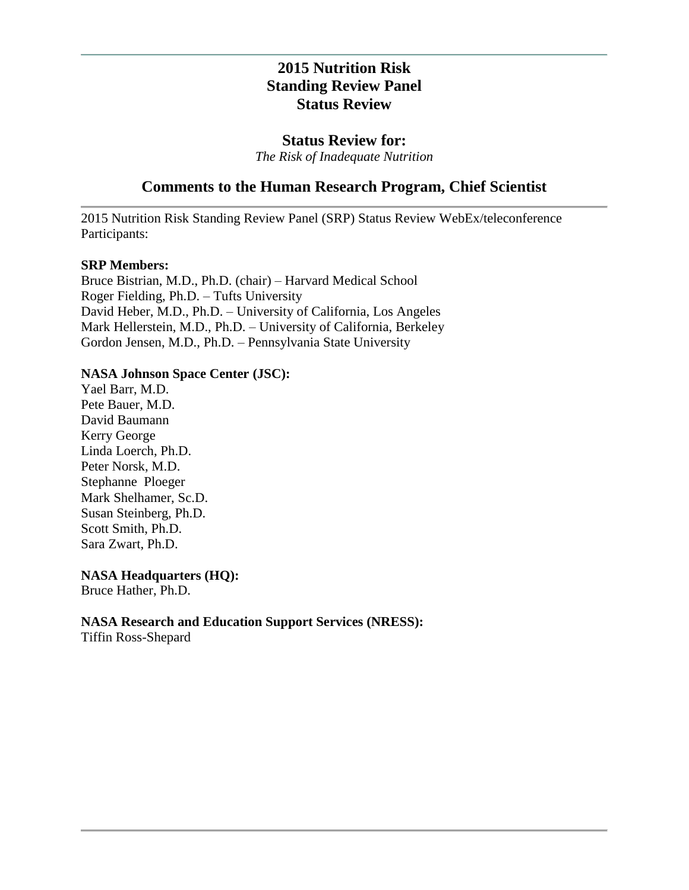# **2015 Nutrition Risk Standing Review Panel Status Review**

## **Status Review for:**

*The Risk of Inadequate Nutrition*

# **Comments to the Human Research Program, Chief Scientist**

2015 Nutrition Risk Standing Review Panel (SRP) Status Review WebEx/teleconference Participants:

#### **SRP Members:**

Bruce Bistrian, M.D., Ph.D. (chair) – Harvard Medical School Roger Fielding, Ph.D. – Tufts University David Heber, M.D., Ph.D. – University of California, Los Angeles Mark Hellerstein, M.D., Ph.D. – University of California, Berkeley Gordon Jensen, M.D., Ph.D. – Pennsylvania State University

### **NASA Johnson Space Center (JSC):**

Yael Barr, M.D. Pete Bauer, M.D. David Baumann Kerry George Linda Loerch, Ph.D. Peter Norsk, M.D. Stephanne Ploeger Mark Shelhamer, Sc.D. Susan Steinberg, Ph.D. Scott Smith, Ph.D. Sara Zwart, Ph.D.

**NASA Headquarters (HQ):**

Bruce Hather, Ph.D.

**NASA Research and Education Support Services (NRESS):**

Tiffin Ross-Shepard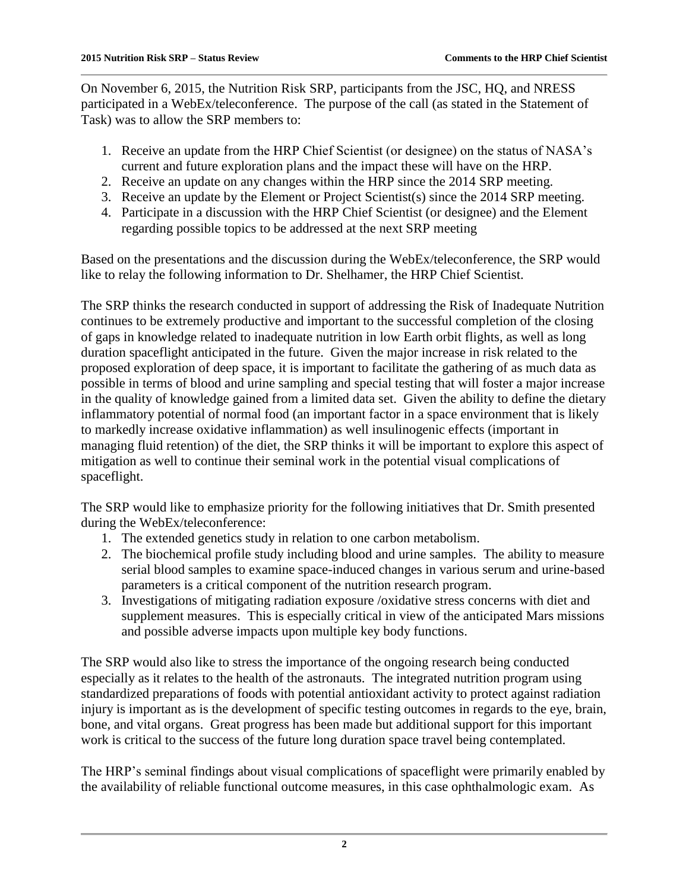On November 6, 2015, the Nutrition Risk SRP, participants from the JSC, HQ, and NRESS participated in a WebEx/teleconference. The purpose of the call (as stated in the Statement of Task) was to allow the SRP members to:

- 1. Receive an update from the HRP Chief Scientist (or designee) on the status of NASA's current and future exploration plans and the impact these will have on the HRP.
- 2. Receive an update on any changes within the HRP since the 2014 SRP meeting.
- 3. Receive an update by the Element or Project Scientist(s) since the 2014 SRP meeting.
- 4. Participate in a discussion with the HRP Chief Scientist (or designee) and the Element regarding possible topics to be addressed at the next SRP meeting

Based on the presentations and the discussion during the WebEx/teleconference, the SRP would like to relay the following information to Dr. Shelhamer, the HRP Chief Scientist.

The SRP thinks the research conducted in support of addressing the Risk of Inadequate Nutrition continues to be extremely productive and important to the successful completion of the closing of gaps in knowledge related to inadequate nutrition in low Earth orbit flights, as well as long duration spaceflight anticipated in the future. Given the major increase in risk related to the proposed exploration of deep space, it is important to facilitate the gathering of as much data as possible in terms of blood and urine sampling and special testing that will foster a major increase in the quality of knowledge gained from a limited data set. Given the ability to define the dietary inflammatory potential of normal food (an important factor in a space environment that is likely to markedly increase oxidative inflammation) as well insulinogenic effects (important in managing fluid retention) of the diet, the SRP thinks it will be important to explore this aspect of mitigation as well to continue their seminal work in the potential visual complications of spaceflight.

The SRP would like to emphasize priority for the following initiatives that Dr. Smith presented during the WebEx/teleconference:

- 1. The extended genetics study in relation to one carbon metabolism.
- 2. The biochemical profile study including blood and urine samples. The ability to measure serial blood samples to examine space-induced changes in various serum and urine-based parameters is a critical component of the nutrition research program.
- 3. Investigations of mitigating radiation exposure /oxidative stress concerns with diet and supplement measures. This is especially critical in view of the anticipated Mars missions and possible adverse impacts upon multiple key body functions.

The SRP would also like to stress the importance of the ongoing research being conducted especially as it relates to the health of the astronauts. The integrated nutrition program using standardized preparations of foods with potential antioxidant activity to protect against radiation injury is important as is the development of specific testing outcomes in regards to the eye, brain, bone, and vital organs. Great progress has been made but additional support for this important work is critical to the success of the future long duration space travel being contemplated.

The HRP's seminal findings about visual complications of spaceflight were primarily enabled by the availability of reliable functional outcome measures, in this case ophthalmologic exam. As